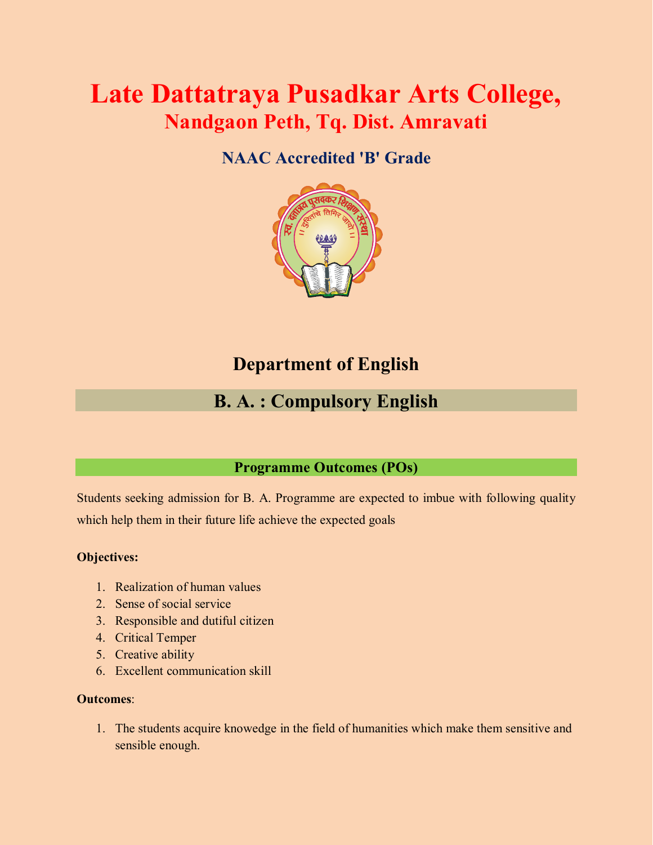# **Late Dattatraya Pusadkar Arts College, Nandgaon Peth, Tq. Dist. Amravati**

# **NAAC Accredited 'B' Grade**



# **Department of English**

# **B. A. : Compulsory English**

## **Programme Outcomes (POs)**

Students seeking admission for B. A. Programme are expected to imbue with following quality which help them in their future life achieve the expected goals

### **Objectives:**

- 1. Realization of human values
- 2. Sense of social service
- 3. Responsible and dutiful citizen
- 4. Critical Temper
- 5. Creative ability
- 6. Excellent communication skill

### **Outcomes**:

1. The students acquire knowedge in the field of humanities which make them sensitive and sensible enough.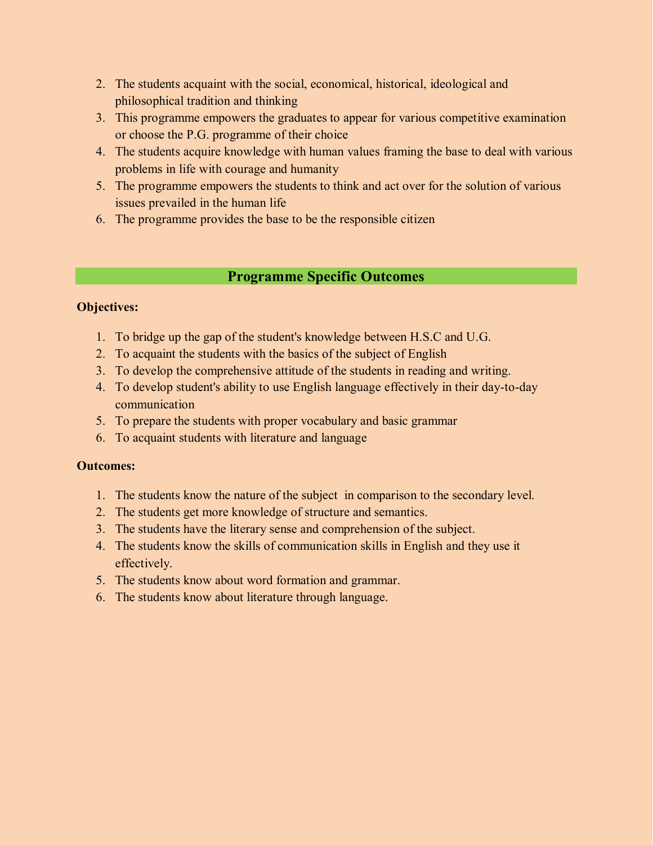- 2. The students acquaint with the social, economical, historical, ideological and philosophical tradition and thinking
- 3. This programme empowers the graduates to appear for various competitive examination or choose the P.G. programme of their choice
- 4. The students acquire knowledge with human values framing the base to deal with various problems in life with courage and humanity
- 5. The programme empowers the students to think and act over for the solution of various issues prevailed in the human life
- 6. The programme provides the base to be the responsible citizen

## **Programme Specific Outcomes**

## **Objectives:**

- 1. To bridge up the gap of the student's knowledge between H.S.C and U.G.
- 2. To acquaint the students with the basics of the subject of English
- 3. To develop the comprehensive attitude of the students in reading and writing.
- 4. To develop student's ability to use English language effectively in their day-to-day communication
- 5. To prepare the students with proper vocabulary and basic grammar
- 6. To acquaint students with literature and language

- 1. The students know the nature of the subject in comparison to the secondary level.
- 2. The students get more knowledge of structure and semantics.
- 3. The students have the literary sense and comprehension of the subject.
- 4. The students know the skills of communication skills in English and they use it effectively.
- 5. The students know about word formation and grammar.
- 6. The students know about literature through language.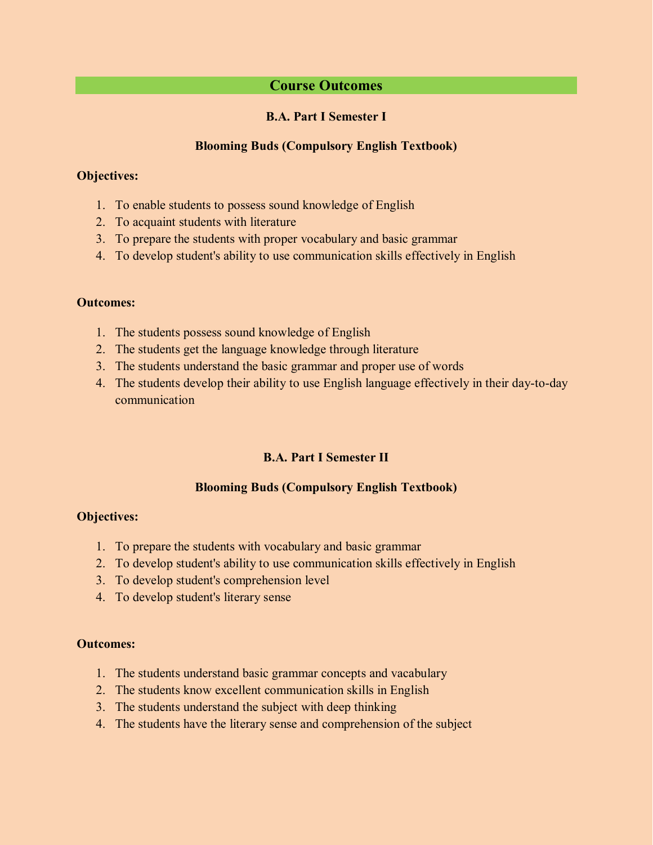## **Course Outcomes**

#### **B.A. Part I Semester I**

#### **Blooming Buds (Compulsory English Textbook)**

#### **Objectives:**

- 1. To enable students to possess sound knowledge of English
- 2. To acquaint students with literature
- 3. To prepare the students with proper vocabulary and basic grammar
- 4. To develop student's ability to use communication skills effectively in English

#### **Outcomes:**

- 1. The students possess sound knowledge of English
- 2. The students get the language knowledge through literature
- 3. The students understand the basic grammar and proper use of words
- 4. The students develop their ability to use English language effectively in their day-to-day communication

### **B.A. Part I Semester II**

### **Blooming Buds (Compulsory English Textbook)**

#### **Objectives:**

- 1. To prepare the students with vocabulary and basic grammar
- 2. To develop student's ability to use communication skills effectively in English
- 3. To develop student's comprehension level
- 4. To develop student's literary sense

- 1. The students understand basic grammar concepts and vacabulary
- 2. The students know excellent communication skills in English
- 3. The students understand the subject with deep thinking
- 4. The students have the literary sense and comprehension of the subject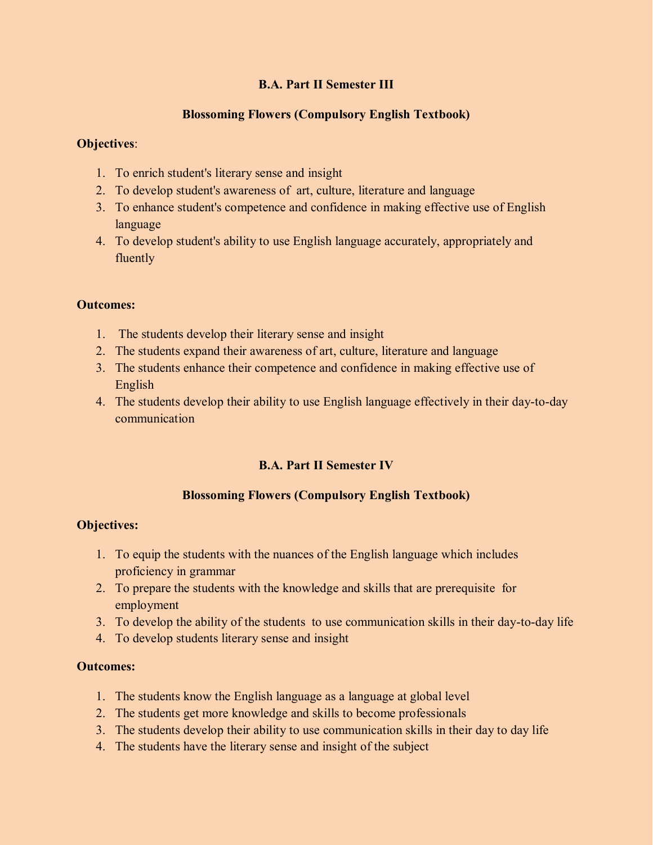## **B.A. Part II Semester III**

## **Blossoming Flowers (Compulsory English Textbook)**

## **Objectives**:

- 1. To enrich student's literary sense and insight
- 2. To develop student's awareness of art, culture, literature and language
- 3. To enhance student's competence and confidence in making effective use of English language
- 4. To develop student's ability to use English language accurately, appropriately and fluently

### **Outcomes:**

- 1. The students develop their literary sense and insight
- 2. The students expand their awareness of art, culture, literature and language
- 3. The students enhance their competence and confidence in making effective use of English
- 4. The students develop their ability to use English language effectively in their day-to-day communication

## **B.A. Part II Semester IV**

### **Blossoming Flowers (Compulsory English Textbook)**

### **Objectives:**

- 1. To equip the students with the nuances of the English language which includes proficiency in grammar
- 2. To prepare the students with the knowledge and skills that are prerequisite for employment
- 3. To develop the ability of the students to use communication skills in their day-to-day life
- 4. To develop students literary sense and insight

- 1. The students know the English language as a language at global level
- 2. The students get more knowledge and skills to become professionals
- 3. The students develop their ability to use communication skills in their day to day life
- 4. The students have the literary sense and insight of the subject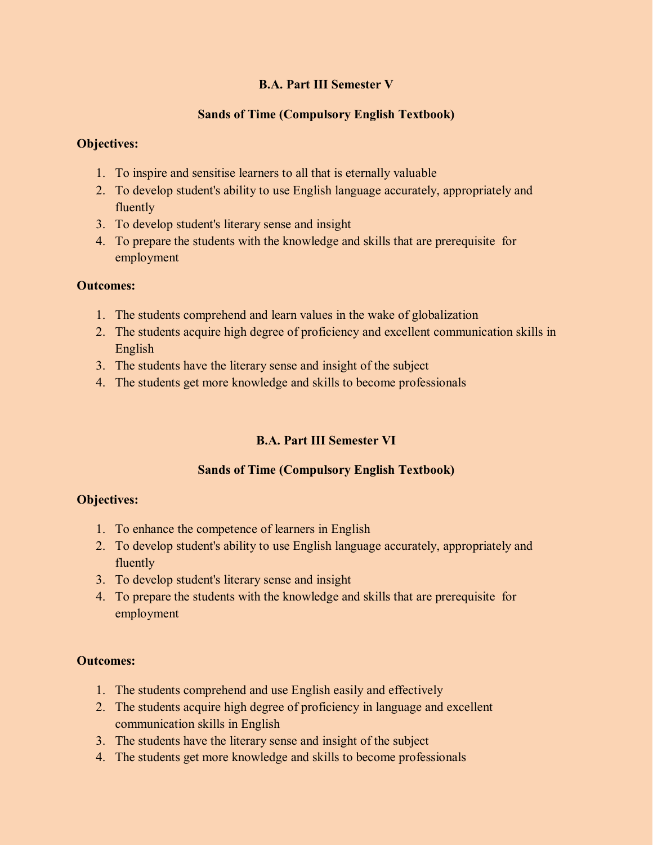## **B.A. Part III Semester V**

## **Sands of Time (Compulsory English Textbook)**

### **Objectives:**

- 1. To inspire and sensitise learners to all that is eternally valuable
- 2. To develop student's ability to use English language accurately, appropriately and fluently
- 3. To develop student's literary sense and insight
- 4. To prepare the students with the knowledge and skills that are prerequisite for employment

#### **Outcomes:**

- 1. The students comprehend and learn values in the wake of globalization
- 2. The students acquire high degree of proficiency and excellent communication skills in English
- 3. The students have the literary sense and insight of the subject
- 4. The students get more knowledge and skills to become professionals

## **B.A. Part III Semester VI**

### **Sands of Time (Compulsory English Textbook)**

### **Objectives:**

- 1. To enhance the competence of learners in English
- 2. To develop student's ability to use English language accurately, appropriately and fluently
- 3. To develop student's literary sense and insight
- 4. To prepare the students with the knowledge and skills that are prerequisite for employment

- 1. The students comprehend and use English easily and effectively
- 2. The students acquire high degree of proficiency in language and excellent communication skills in English
- 3. The students have the literary sense and insight of the subject
- 4. The students get more knowledge and skills to become professionals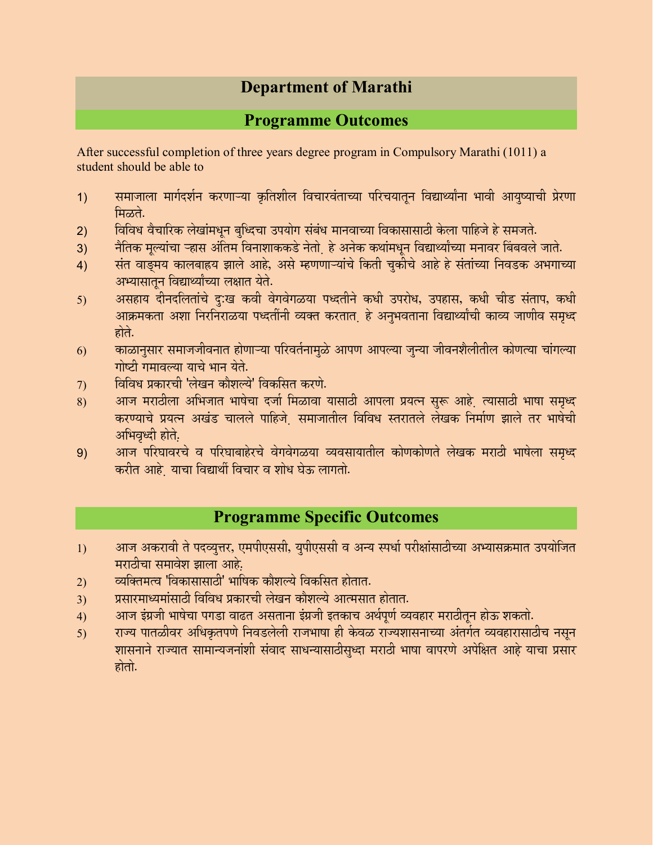# **Department of Marathi**

## **Programme Outcomes**

After successful completion of three years degree program in Compulsory Marathi (1011) a student should be able to

- 1) समाजाला मार्गदर्शन करणाऱ्या कृतिशील विचारवंताच्या परिचयातून विद्यार्थ्यांना भावी आयुष्याची प्रेरणा ਸਿਲਰੇ.
- 2) विविध वैचारिक लेखांमधून बुध्दिचा उपयोग संबंध मानवाच्या विकासासाठी केला पाहिजे हे समजते.
- 3) नैतिक मूल्यांचा ऱ्हास अंतिम विनाशाककडे नेतो हे अनेक कथांमधून विद्यार्थ्यांच्या मनावर बिंबवले जाते.
- 4) संत वाङ्मय कालबाह्रय झाले आहे, असे म्हणणाऱ्यांचे किती चुकीचे आहे हे संतांच्या निवडक अभगाच्या अभ्यासातून विद्यार्थ्यांच्या लक्षात येते.
- 5) असहाय दीनदलितांचे दु:ख कवी वेगवेगळया पध्दतीने कधी उपरोध, उपहास, कधी चीड संताप, कधी <u>आक्रमकता अशा निरनिराळया पध्दतींनी व्यक्त करतात. हे अनुभवताना विद्यार्थ्यांची काव्य जाणीव समृध्द</u> होते.
- $6$ ) व्याळानुसार समाजजीवनात होणाऱ्या परिवर्तनामुळे आपण आपल्या जुन्या जीवनशैलीतील कोणत्या चांगल्या गोष्टी गमावल्या याचे भान येते.
- 7) विविध प्रकारची 'लेखन कौशल्ये' विकसित करणे.
- 8) आज मराठीला अभिजात भाषेचा दर्जा मिळावा यासाठी आपला प्रयत्न सुरू आहे. त्यासाठी भाषा समृध्द करण्याचे प्रयत्न अखंड चालले पाहिजे समाजातील विविध स्तरातले लेखक निर्माण झाले तर भाषेची अभिवृध्दी होते.
- 9) आज परिघावरचे व परिघाबाहेरचे वेगवेगळया व्यवसायातील कोणकोणते लेखक मराठी भाषेला समृध्द करीत आहे. याचा विद्यार्थी विचार व शोध घेऊ लागतो.

## **Programme Specific Outcomes**

- 1) आज अकरावी ते पदव्युत्तर, एमपीएससी, युपीएससी व अन्य स्पर्धा परीक्षांसाठीच्या अभ्यासक्रमात उपयोजित मराठीचा समावेश झाला आहे.
- 2) व्यक्तिमत्व 'विकासासाठी' भाषिक कौशल्ये विकसित होतात.
- 3) प्रसारमाध्यमांसाठी विविध प्रकारची लेखन कौशल्ये आत्मसात होतात.
- 4) आज इंग्रजी भाषेचा पगडा वाढत असताना इंग्रजी इतकाच अर्थपूर्ण व्यवहार मराठीतून होऊ शकतो.
- 5) राज्य पातळीवर अधिकृतपणे निवडलेली राजभाषा ही केवळ राज्यशासनाच्या अंतर्गत व्यवहारासाठीच नसून शासनाने राज्यात सामान्यजनांशी संवाद साधन्यासाठीसृध्दा मराठी भाषा वापरणे अपेक्षित आहे याचा प्रसार होतो.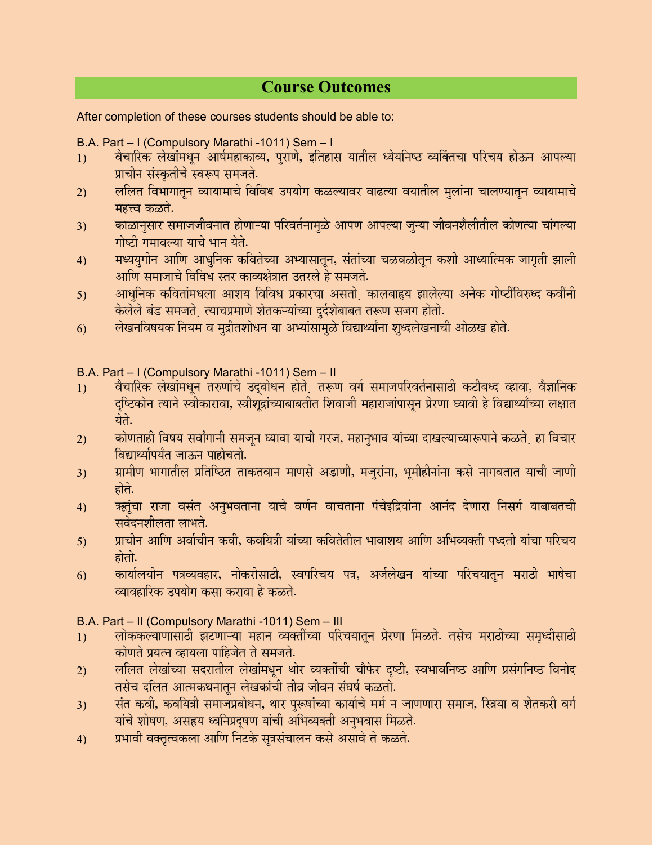## **Course Outcomes**

After completion of these courses students should be able to:

B.A. Part – I (Compulsory Marathi -1011) Sem – I

- 1) वैचारिक लेखांमधून आर्षमहाकाव्य, पुराणे, इतिहास यातील ध्येयनिष्ठ व्यक्तिचा परिचय होऊन आपल्या प्राचीन संस्कृतीचे स्वरूप समजते.
- 2) ललित विभागातून व्यायामाचे विविध उपयोग कळल्यावर वाढत्या वयातील मुलांना चालण्यातून व्यायामाचे महत्त्व कळते.
- 3) काळानुसार समाजजीवनात होणाऱ्या परिवर्तनामुळे आपण आपल्या जुन्या जीवनशैलीतील कोणत्या चांगल्या गोष्टी गमावल्या याचे भान येते.
- 4) मध्ययुगीन आणि आधुनिक कवितेच्या अभ्यासातून, संतांच्या चळवळीतून कशी आध्यात्मिक जागृती झाली आणि समाजाचे विविध स्तर काव्यक्षेत्रात उतरले हे समजते.
- 5) आधुनिक कवितांमधला आशय विविध प्रकारचा असतो कालबाहृय झालेल्या अनेक गोष्टींविरुध्द कवींनी केलेले बंड समजते. त्याचप्रमाणे शेतकऱ्यांच्या दुर्दशेबाबत तरूण सजग होतो.
- 6) लेखनविषयक नियम व मुद्रीतशोधन या अभ्यांसामुळे विद्यार्थ्यांना शृध्दलेखनाची ओळख होते.

B.A. Part – I (Compulsory Marathi -1011) Sem – II

- 1) वैचारिक लेखांमधून तरुणांचे उदुबोधन होते. तरूण वर्ग समाजपरिवर्तनासाठी कटीबध्द व्हावा, वैज्ञानिक दृष्टिकोन त्याने स्वीकारावा, स्त्रीशुद्रांच्याबाबतीत शिवाजी महाराजांपासून प्रेरणा घ्यावी हे विद्यार्थ्यांच्या लक्षात येते.
- 2) कोणताही विषय सर्वांगानी समजून घ्यावा याची गरज, महानुभाव यांच्या दाखल्याच्यारूपाने कळते<sub>.</sub> हा विचार <u>विद्यार्थ्यांपर्यंत जाऊन पाहोचतो.</u>
- 3) प्रामीण भागातील प्रतिष्ठित ताकतवान माणसे अडाणी, मजुरांना, भूमीहीनांना कसे नागवतात याची जाणी होते.
- 4) ऋतुंचा राजा वसंत अनुभवताना याचे वर्णन वाचताना पंचेइद्रियांना आनंद देणारा निसर्ग याबाबतची सवेदनशीलता लाभते.
- 5) ञाचीन आणि अर्वाचीन कवी, कवयित्री यांच्या कवितेतील भावाशय आणि अभिव्यक्ती पध्दती यांचा परिचय होतो.
- 6) व्यार्यालयीन पत्रव्यवहार, नोकरीसाठी, स्वपरिचय पत्र, अर्जलेखन यांच्या परिचयातून मराठी भाषेचा व्यावहारिक उपयोग कसा करावा हे कळते.

B.A. Part – II (Compulsory Marathi -1011) Sem – III

- 1) लोककल्याणासाठी झटणाऱ्या महान व्यक्तींच्या परिचयातून प्रेरणा मिळते. तसेच मराठीच्या समृध्दीसाठी <u>कोणते प्रयत्न व्हायला पाहिजेत ते समजते.</u>
- 2) ललित लेखांच्या सदरातील लेखांमधून थोर व्यक्तींची चौफेर दृष्टी, स्वभावनिष्ठ आणि प्रसंगनिष्ठ विनोद तसेच दलित आत्मकथनातून लेखकांची तीव्र जीवन संघर्ष कळतो.
- 3) संत कवी, कवयित्री समाजप्रबोधन, थार पुरूषांच्या कार्याचे मर्म न जाणणारा समाज, स्त्रिया व शेतकरी वर्ग यांचे शोषण, असहय ध्वनिप्रदूषण यांची अभिव्यक्ती अनुभवास मिळते.
- 4) प्रभावी वक्तृत्वकला आणि निटके सूत्रसंचालन कसे असावे ते कळते.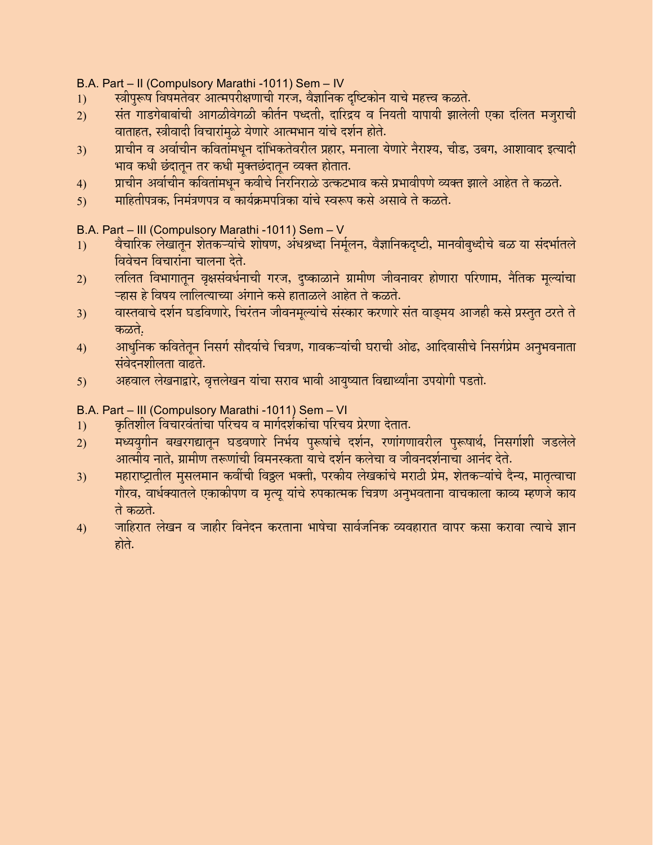B.A. Part – II (Compulsory Marathi -1011) Sem – IV

- 1) द्यीपुरूष विषमतेवर आत्मपरीक्षणाची गरज, वैज्ञानिक दृष्टिकोन याचे महत्त्व कळते.
- $\dot{z})$   $\dot{z}$  संत गाडगेबाबांची आगळीवेगळी कीर्तन पध्दती, दारिद्रय व नियती यापायी झालेली एका दलित मजराची वाताहत, स्त्रीवादी विचारांमुळे येणारे आत्मभान यांचे दर्शन होते.
- 3) ञाचीन व अर्वाचीन कवितांमधून दांभिकतेवरील प्रहार, मनाला येणारे नैराश्य, चीड, उबग, आशावाद इत्यादी भाव कधी छंदातून तर कधी मुक्तछंदातून व्यक्त होतात.
- 4) प्राचीन अर्वाचीन कवितांमधुन कवीचे निरनिराळे उत्कटभाव कसे प्रभावीपणे व्यक्त झाले आहेत ते कळते.
- 5) माहितीपत्रक, निमंत्रणपत्र व कार्यक्रमपत्रिका यांचे स्वरूप कसे असावे ते कळते.

B.A. Part – III (Compulsory Marathi -1011) Sem – V

- 1) वैचारिक लेखातून शेतकऱ्यांचे शोषण, अंधश्रध्दा निर्मूलन, वैज्ञानिकदृष्टी, मानवीबृध्दीचे बळ या संदर्भातले <u>विवेचन विचारांना चालना देते.</u>
- 2) ललित विभागातून वृक्षसंवर्धनाची गरज, दुष्काळाने ग्रामीण जीवनावर होणारा परिणाम, नैतिक मूल्यांचा <u>ऱ्हास हे विषय लालित्याच्या अंगाने कसे हाताळले आहेत ते कळते.</u>
- 3) वास्तवाचे दर्शन घडविणारे, चिरंतन जीवनमुल्यांचे संस्कार करणारे संत वाङमय आजही कसे प्रस्तुत ठरते ते कळते.
- 4) आधुनिक कवितेतुन निसर्ग सौदर्याचे चित्रण, गावकऱ्यांची घराची ओढ, आदिवासीचे निसर्गप्रेम अनुभवनाता संवेदनशीलता वाढते.
- 5) अहवाल लेखनाद्वारे, वृत्तलेखन यांचा सराव भावी आयुष्यात विद्यार्थ्यांना उपयोगी पडतो.

B.A. Part – III (Compulsory Marathi -1011) Sem – VI

- <u>1) कृतिशील विचारवंतांचा परिचय व मार्गदर्शकांचा परिचय प्रेरणा देतात.</u>
- 2) मध्ययगीन बखरगद्यातुन घडवणारे निर्भय पुरूषांचे दर्शन, रणांगणावरील पुरूषार्थ, निसर्गाशी जडलेले आत्मीय नाते, ग्रामीण तरूणांची विमनस्कता याचे दर्शन कलेचा व जीवनदर्शनाचा आनंद देते.
- 3) महाराष्ट्रातील मुसलमान कवींची विठ्ठल भक्ती, परकीय लेखकांचे मराठी प्रेम, शेतकऱ्यांचे दैन्य, मातृत्वाचा गौरव, वार्धक्यातले एकाकीपण व मृत्यु यांचे रुपकात्मक चित्रण अनुभवताना वाचकाला काव्य म्हणजे काय ते कळते.
- 4) जाहिरात लेखन व जाहीर विनेदन करताना भाषेचा सार्वजनिक व्यवहारात वापर कसा करावा त्याचे ज्ञान होते.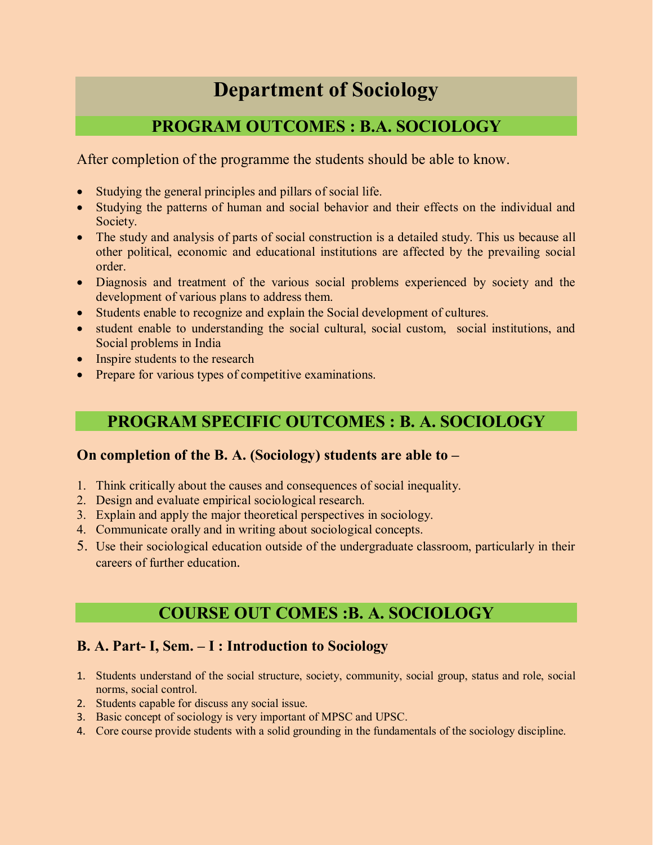# **Department of Sociology**

# **PROGRAM OUTCOMES : B.A. SOCIOLOGY**

After completion of the programme the students should be able to know.

- Studying the general principles and pillars of social life.
- Studying the patterns of human and social behavior and their effects on the individual and Society.
- The study and analysis of parts of social construction is a detailed study. This us because all other political, economic and educational institutions are affected by the prevailing social order.
- Diagnosis and treatment of the various social problems experienced by society and the development of various plans to address them.
- Students enable to recognize and explain the Social development of cultures.
- student enable to understanding the social cultural, social custom, social institutions, and Social problems in India
- Inspire students to the research
- Prepare for various types of competitive examinations.

# **PROGRAM SPECIFIC OUTCOMES : B. A. SOCIOLOGY**

## **On completion of the B. A. (Sociology) students are able to –**

- 1. Think critically about the causes and consequences of social inequality.
- 2. Design and evaluate empirical sociological research.
- 3. Explain and apply the major theoretical perspectives in sociology.
- 4. Communicate orally and in writing about sociological concepts.
- 5. Use their sociological education outside of the undergraduate classroom, particularly in their careers of further education.

# **COURSE OUT COMES :B. A. SOCIOLOGY**

## **B. A. Part- I, Sem. – I : Introduction to Sociology**

- 1. Students understand of the social structure, society, community, social group, status and role, social norms, social control.
- 2. Students capable for discuss any social issue.
- 3. Basic concept of sociology is very important of MPSC and UPSC.
- 4. Core course provide students with a solid grounding in the fundamentals of the sociology discipline.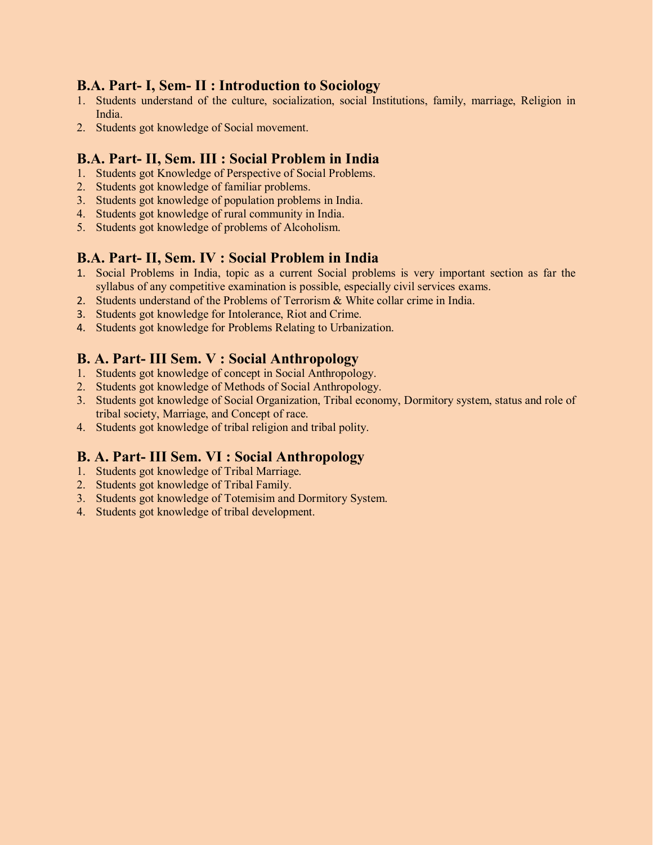## **B.A. Part- I, Sem- II : Introduction to Sociology**

- 1. Students understand of the culture, socialization, social Institutions, family, marriage, Religion in India.
- 2. Students got knowledge of Social movement.

## **B.A. Part- II, Sem. III : Social Problem in India**

- 1. Students got Knowledge of Perspective of Social Problems.
- 2. Students got knowledge of familiar problems.
- 3. Students got knowledge of population problems in India.
- 4. Students got knowledge of rural community in India.
- 5. Students got knowledge of problems of Alcoholism.

## **B.A. Part- II, Sem. IV : Social Problem in India**

- 1. Social Problems in India, topic as a current Social problems is very important section as far the syllabus of any competitive examination is possible, especially civil services exams.
- 2. Students understand of the Problems of Terrorism & White collar crime in India.
- 3. Students got knowledge for Intolerance, Riot and Crime.
- 4. Students got knowledge for Problems Relating to Urbanization.

## **B. A. Part- III Sem. V : Social Anthropology**

- 1. Students got knowledge of concept in Social Anthropology.
- 2. Students got knowledge of Methods of Social Anthropology.
- 3. Students got knowledge of Social Organization, Tribal economy, Dormitory system, status and role of tribal society, Marriage, and Concept of race.
- 4. Students got knowledge of tribal religion and tribal polity.

## **B. A. Part- III Sem. VI : Social Anthropology**

- 1. Students got knowledge of Tribal Marriage.
- 2. Students got knowledge of Tribal Family.
- 3. Students got knowledge of Totemisim and Dormitory System.
- 4. Students got knowledge of tribal development.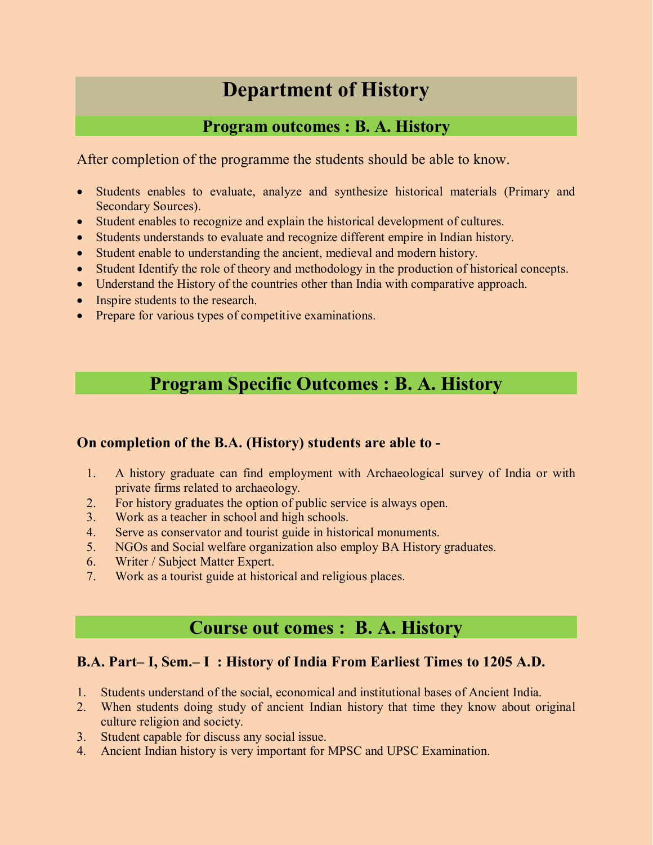# **Department of History**

## **Program outcomes : B. A. History**

After completion of the programme the students should be able to know.

- Students enables to evaluate, analyze and synthesize historical materials (Primary and Secondary Sources).
- Student enables to recognize and explain the historical development of cultures.
- Students understands to evaluate and recognize different empire in Indian history.
- Student enable to understanding the ancient, medieval and modern history.
- Student Identify the role of theory and methodology in the production of historical concepts.
- Understand the History of the countries other than India with comparative approach.
- Inspire students to the research.
- Prepare for various types of competitive examinations.

# **Program Specific Outcomes : B. A. History**

## **On completion of the B.A. (History) students are able to -**

- 1. A history graduate can find employment with Archaeological survey of India or with private firms related to archaeology.
- 2. For history graduates the option of public service is always open.
- 3. Work as a teacher in school and high schools.
- 4. Serve as conservator and tourist guide in historical monuments.
- 5. NGOs and Social welfare organization also employ BA History graduates.
- 6. Writer / Subject Matter Expert.
- 7. Work as a tourist guide at historical and religious places.

# **Course out comes : B. A. History**

## **B.A. Part– I, Sem.– I : History of India From Earliest Times to 1205 A.D.**

- 1. Students understand of the social, economical and institutional bases of Ancient India.
- 2. When students doing study of ancient Indian history that time they know about original culture religion and society.
- 3. Student capable for discuss any social issue.
- 4. Ancient Indian history is very important for MPSC and UPSC Examination.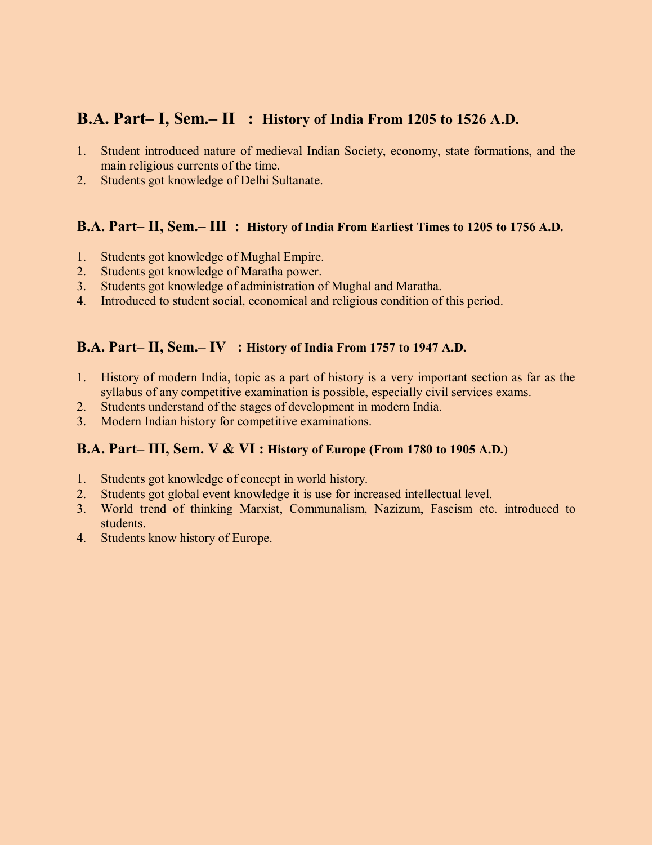## **B.A. Part– I, Sem.– II : History of India From 1205 to 1526 A.D.**

- 1. Student introduced nature of medieval Indian Society, economy, state formations, and the main religious currents of the time.
- 2. Students got knowledge of Delhi Sultanate.

### **B.A. Part– II, Sem.– III : History of India From Earliest Times to 1205 to 1756 A.D.**

- 1. Students got knowledge of Mughal Empire.
- 2. Students got knowledge of Maratha power.
- 3. Students got knowledge of administration of Mughal and Maratha.
- 4. Introduced to student social, economical and religious condition of this period.

## **B.A. Part– II, Sem.– IV : History of India From 1757 to 1947 A.D.**

- 1. History of modern India, topic as a part of history is a very important section as far as the syllabus of any competitive examination is possible, especially civil services exams.
- 2. Students understand of the stages of development in modern India.
- 3. Modern Indian history for competitive examinations.

## **B.A. Part– III, Sem. V & VI : History of Europe (From 1780 to 1905 A.D.)**

- 1. Students got knowledge of concept in world history.
- 2. Students got global event knowledge it is use for increased intellectual level.
- 3. World trend of thinking Marxist, Communalism, Nazizum, Fascism etc. introduced to students.
- 4. Students know history of Europe.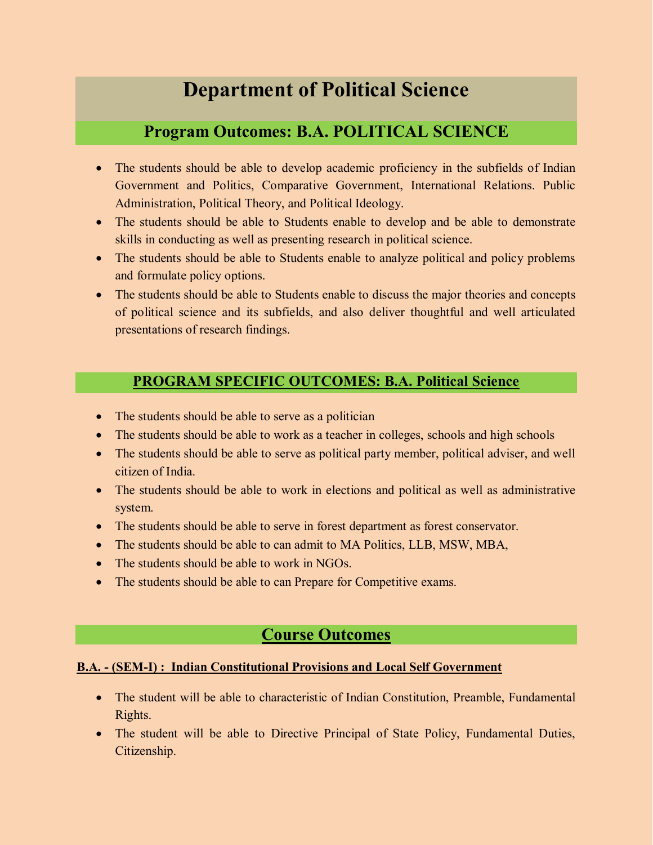# **Department of Political Science**

## **Program Outcomes: B.A. POLITICAL SCIENCE**

- The students should be able to develop academic proficiency in the subfields of Indian Government and Politics, Comparative Government, International Relations. Public Administration, Political Theory, and Political Ideology.
- The students should be able to Students enable to develop and be able to demonstrate skills in conducting as well as presenting research in political science.
- The students should be able to Students enable to analyze political and policy problems and formulate policy options.
- The students should be able to Students enable to discuss the major theories and concepts of political science and its subfields, and also deliver thoughtful and well articulated presentations of research findings.

## **PROGRAM SPECIFIC OUTCOMES: B.A. Political Science**

- The students should be able to serve as a politician
- The students should be able to work as a teacher in colleges, schools and high schools
- The students should be able to serve as political party member, political adviser, and well citizen of India.
- The students should be able to work in elections and political as well as administrative system.
- The students should be able to serve in forest department as forest conservator.
- The students should be able to can admit to MA Politics, LLB, MSW, MBA,
- The students should be able to work in NGOs.
- The students should be able to can Prepare for Competitive exams.

## **Course Outcomes**

### **B.A. - (SEM-I) : Indian Constitutional Provisions and Local Self Government**

- The student will be able to characteristic of Indian Constitution, Preamble, Fundamental Rights.
- The student will be able to Directive Principal of State Policy, Fundamental Duties, Citizenship.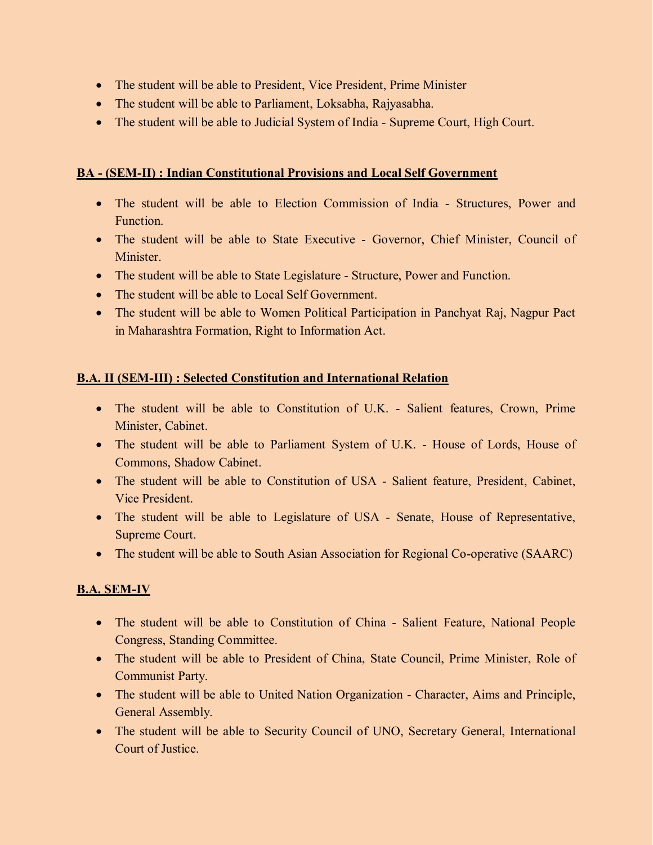- The student will be able to President, Vice President, Prime Minister
- The student will be able to Parliament, Loksabha, Rajyasabha.
- The student will be able to Judicial System of India Supreme Court, High Court.

## **BA - (SEM-II) : Indian Constitutional Provisions and Local Self Government**

- The student will be able to Election Commission of India Structures, Power and Function.
- The student will be able to State Executive Governor, Chief Minister, Council of **Minister**
- The student will be able to State Legislature Structure, Power and Function.
- The student will be able to Local Self Government.
- The student will be able to Women Political Participation in Panchyat Raj, Nagpur Pact in Maharashtra Formation, Right to Information Act.

## **B.A. II (SEM-III) : Selected Constitution and International Relation**

- The student will be able to Constitution of U.K. Salient features, Crown, Prime Minister, Cabinet.
- The student will be able to Parliament System of U.K. House of Lords, House of Commons, Shadow Cabinet.
- The student will be able to Constitution of USA Salient feature, President, Cabinet, Vice President.
- The student will be able to Legislature of USA Senate, House of Representative, Supreme Court.
- The student will be able to South Asian Association for Regional Co-operative (SAARC)

## **B.A. SEM-IV**

- The student will be able to Constitution of China Salient Feature, National People Congress, Standing Committee.
- The student will be able to President of China, State Council, Prime Minister, Role of Communist Party.
- The student will be able to United Nation Organization Character, Aims and Principle, General Assembly.
- The student will be able to Security Council of UNO, Secretary General, International Court of Justice.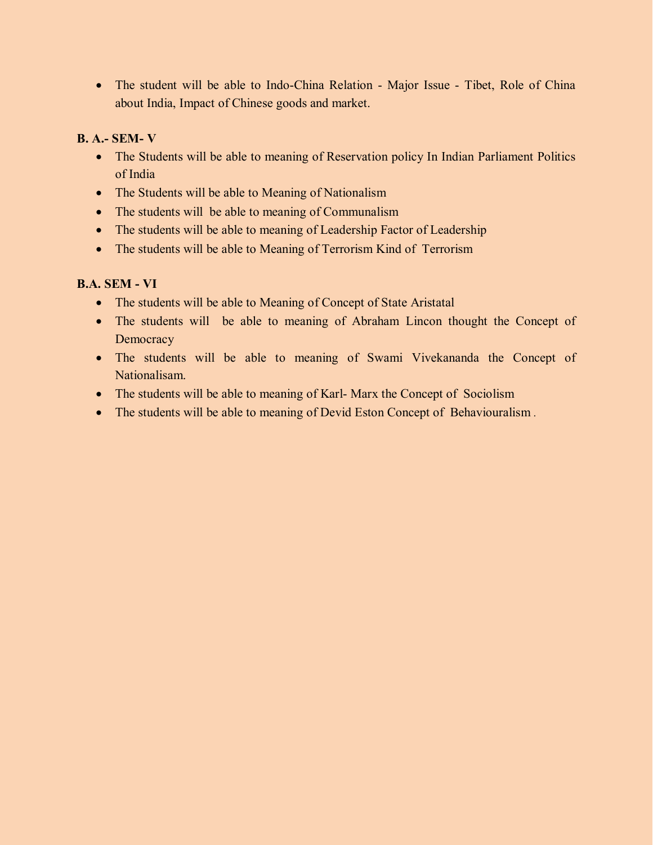• The student will be able to Indo-China Relation - Major Issue - Tibet, Role of China about India, Impact of Chinese goods and market.

## **B. A.- SEM- V**

- The Students will be able to meaning of Reservation policy In Indian Parliament Politics of India
- The Students will be able to Meaning of Nationalism
- The students will be able to meaning of Communalism
- The students will be able to meaning of Leadership Factor of Leadership
- The students will be able to Meaning of Terrorism Kind of Terrorism

## **B.A. SEM - VI**

- The students will be able to Meaning of Concept of State Aristatal
- The students will be able to meaning of Abraham Lincon thought the Concept of **Democracy**
- The students will be able to meaning of Swami Vivekananda the Concept of Nationalisam.
- The students will be able to meaning of Karl-Marx the Concept of Sociolism
- The students will be able to meaning of Devid Eston Concept of Behaviouralism.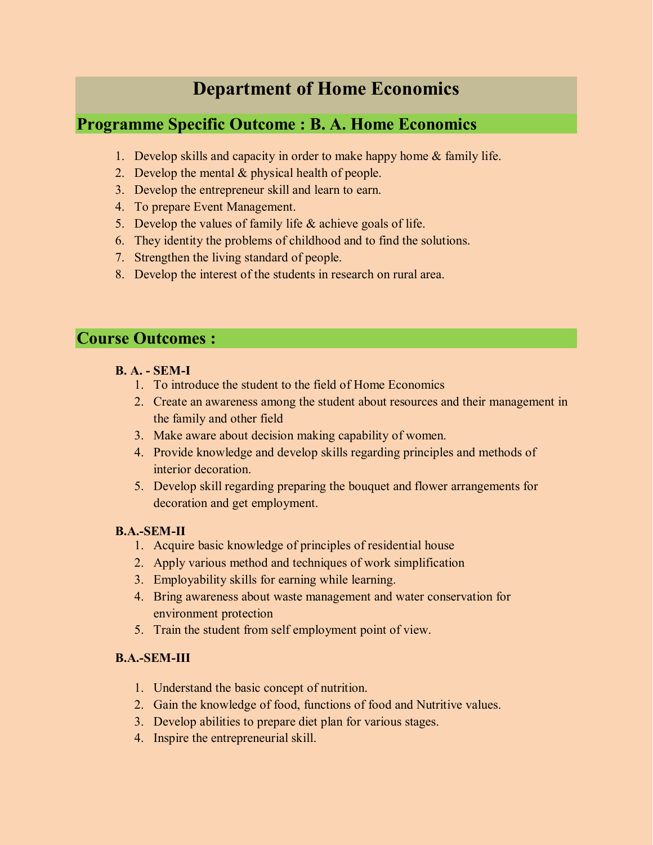# **Department of Home Economics**

## **Programme Specific Outcome : B. A. Home Economics**

- 1. Develop skills and capacity in order to make happy home & family life.
- 2. Develop the mental  $&$  physical health of people.
- 3. Develop the entrepreneur skill and learn to earn.
- 4. To prepare Event Management.
- 5. Develop the values of family life  $\&$  achieve goals of life.
- 6. They identity the problems of childhood and to find the solutions.
- 7. Strengthen the living standard of people.
- 8. Develop the interest of the students in research on rural area.

## **Course Outcomes :**

- **B. A. - SEM-I**
	- 1. To introduce the student to the field of Home Economics
	- 2. Create an awareness among the student about resources and their management in the family and other field
	- 3. Make aware about decision making capability of women.
	- 4. Provide knowledge and develop skills regarding principles and methods of interior decoration.
	- 5. Develop skill regarding preparing the bouquet and flower arrangements for decoration and get employment.

## **B.A.-SEM-II**

- 1. Acquire basic knowledge of principles of residential house
- 2. Apply various method and techniques of work simplification
- 3. Employability skills for earning while learning.
- 4. Bring awareness about waste management and water conservation for environment protection
- 5. Train the student from self employment point of view.

### **B.A.-SEM-III**

- 1. Understand the basic concept of nutrition.
- 2. Gain the knowledge of food, functions of food and Nutritive values.
- 3. Develop abilities to prepare diet plan for various stages.
- 4. Inspire the entrepreneurial skill.